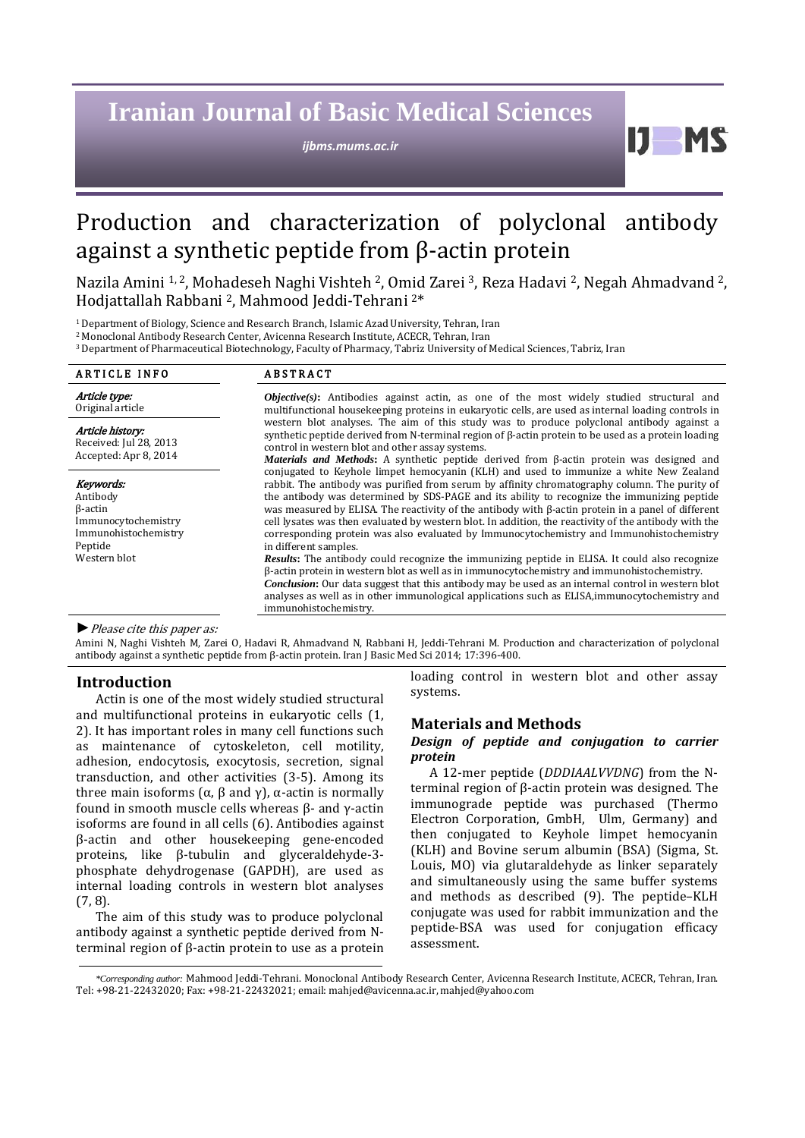# **Iranian Journal of Basic Medical Sciences**

*ijbms.mums.ac.ir*

 $\mathbf{D}$ 

## Production and characterization of polyclonal antibody against a synthetic peptide from β-actin protein

Nazila Amini <sup>1, 2</sup>, Mohadeseh Naghi Vishteh <sup>2</sup>, Omid Zarei <sup>3</sup>, Reza Hadavi <sup>2</sup>, Negah Ahmadvand <sup>2</sup>, Hodjattallah Rabbani 2, Mahmood Jeddi-Tehrani 2\*

1 Department of Biology, Science and Research Branch, Islamic Azad University, Tehran, Iran

2 Monoclonal Antibody Research Center, Avicenna Research Institute, ACECR, Tehran, Iran

3 Department of Pharmaceutical Biotechnology, Faculty of Pharmacy, Tabriz University of Medical Sciences, Tabriz, Iran

| <b>ARTICLE INFO</b>                                                                                               | <b>ABSTRACT</b>                                                                                                                                                                                                                                                                                                                                                                                                                                                                                                                                                                                                                                                                                                                                                                                                                                                                                                                                                                                                                                                                                                                                                                                                                                                                                                                                                                                                                      |
|-------------------------------------------------------------------------------------------------------------------|--------------------------------------------------------------------------------------------------------------------------------------------------------------------------------------------------------------------------------------------------------------------------------------------------------------------------------------------------------------------------------------------------------------------------------------------------------------------------------------------------------------------------------------------------------------------------------------------------------------------------------------------------------------------------------------------------------------------------------------------------------------------------------------------------------------------------------------------------------------------------------------------------------------------------------------------------------------------------------------------------------------------------------------------------------------------------------------------------------------------------------------------------------------------------------------------------------------------------------------------------------------------------------------------------------------------------------------------------------------------------------------------------------------------------------------|
| Article type:<br>Original article                                                                                 | <b><i>Objective(s)</i></b> : Antibodies against actin, as one of the most widely studied structural and<br>multifunctional housekeeping proteins in eukaryotic cells, are used as internal loading controls in<br>western blot analyses. The aim of this study was to produce polyclonal antibody against a<br>synthetic peptide derived from N-terminal region of $\beta$ -actin protein to be used as a protein loading<br>control in western blot and other assay systems.<br>Materials and Methods: A synthetic peptide derived from $\beta$ -actin protein was designed and<br>conjugated to Keyhole limpet hemocyanin (KLH) and used to immunize a white New Zealand<br>rabbit. The antibody was purified from serum by affinity chromatography column. The purity of<br>the antibody was determined by SDS-PAGE and its ability to recognize the immunizing peptide<br>was measured by ELISA. The reactivity of the antibody with $\beta$ -actin protein in a panel of different<br>cell lysates was then evaluated by western blot. In addition, the reactivity of the antibody with the<br>corresponding protein was also evaluated by Immunocytochemistry and Immunohistochemistry<br>in different samples.<br><b>Results:</b> The antibody could recognize the immunizing peptide in ELISA. It could also recognize<br>$\beta$ -actin protein in western blot as well as in immunocytochemistry and immunohistochemistry. |
| Article history:<br>Received: Jul 28, 2013<br>Accepted: Apr 8, 2014                                               |                                                                                                                                                                                                                                                                                                                                                                                                                                                                                                                                                                                                                                                                                                                                                                                                                                                                                                                                                                                                                                                                                                                                                                                                                                                                                                                                                                                                                                      |
| Keywords:<br>Antibody<br>$\beta$ -actin<br>Immunocytochemistry<br>Immunohistochemistry<br>Peptide<br>Western blot |                                                                                                                                                                                                                                                                                                                                                                                                                                                                                                                                                                                                                                                                                                                                                                                                                                                                                                                                                                                                                                                                                                                                                                                                                                                                                                                                                                                                                                      |
|                                                                                                                   | <b>Conclusion:</b> Our data suggest that this antibody may be used as an internal control in western blot<br>analyses as well as in other immunological applications such as ELISA, immunocytochemistry and<br>immunohistochemistry.                                                                                                                                                                                                                                                                                                                                                                                                                                                                                                                                                                                                                                                                                                                                                                                                                                                                                                                                                                                                                                                                                                                                                                                                 |

## *►*Please cite this paper as:

Amini N, Naghi Vishteh M, Zarei O, Hadavi R, Ahmadvand N, Rabbani H, Jeddi-Tehrani M. Production and characterization of polyclonal antibody against a synthetic peptide from β-actin protein. Iran J Basic Med Sci 2014; 17:396-400.

#### **Introduction**

Actin is one of the most widely studied structural and multifunctional proteins in eukaryotic cells [\(1,](#page-4-0) [2\)](#page-4-1). It has important roles in many cell functions such as maintenance of cytoskeleton, cell motility, adhesion, endocytosis, exocytosis, secretion, signal transduction, and other activities [\(3-5\)](#page-4-2). Among its three main isoforms ( $\alpha$ ,  $\beta$  and  $\gamma$ ),  $\alpha$ -actin is normally found in smooth muscle cells whereas β- and γ-actin isoforms are found in all cells [\(6\)](#page-4-3). Antibodies against β-actin and other housekeeping gene-encoded proteins, like β-tubulin and glyceraldehyde-3 phosphate dehydrogenase (GAPDH), are used as internal loading controls in western blot analyses [\(7,](#page-4-4) [8\)](#page-4-5).

The aim of this study was to produce polyclonal antibody against a synthetic peptide derived from Nterminal region of β-actin protein to use as a protein loading control in western blot and other assay systems.

#### **Materials and Methods**

## *Design of peptide and conjugation to carrier protein*

A 12-mer peptide (*DDDIAALVVDNG*) from the Nterminal region of β-actin protein was designed. The immunograde peptide was purchased (Thermo Electron Corporation, GmbH, Ulm, Germany) and then conjugated to Keyhole limpet hemocyanin (KLH) and Bovine serum albumin (BSA) (Sigma, St. Louis, MO) via glutaraldehyde as linker separately and simultaneously using the same buffer systems and methods as described [\(9\)](#page-4-6). The peptide–KLH conjugate was used for rabbit immunization and the peptide-BSA was used for conjugation efficacy assessment.

*<sup>\*</sup>Corresponding author:* Mahmood Jeddi-Tehrani. Monoclonal Antibody Research Center, Avicenna Research Institute, ACECR, Tehran, Iran. Tel: +98-21-22432020; Fax: +98-21-22432021; email[: mahjed@avicenna.ac.ir,](mailto:mahjed@avicenna.ac.ir) [mahjed@yahoo.com](mailto:mahjed@yahoo.com)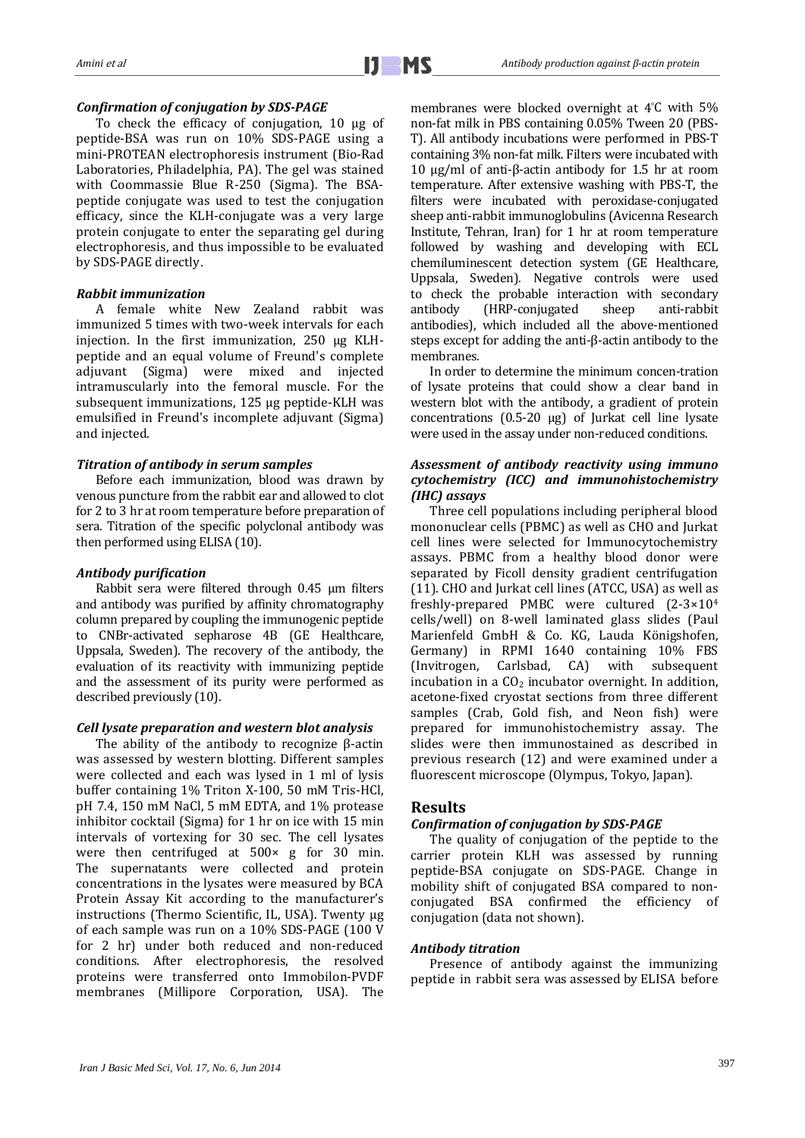#### *Confirmation of conjugation by SDS-PAGE*

To check the efficacy of conjugation, 10 µg of peptide-BSA was run on 10% SDS-PAGE using a mini-PROTEAN electrophoresis instrument (Bio-Rad Laboratories, Philadelphia, PA). The gel was stained with Coommassie Blue R-250 (Sigma). The BSApeptide conjugate was used to test the conjugation efficacy, since the KLH-conjugate was a very large protein conjugate to enter the separating gel during electrophoresis, and thus impossible to be evaluated by SDS-PAGE directly.

## *Rabbit immunization*

A female white New Zealand rabbit was immunized 5 times with two-week intervals for each injection. In the first immunization, 250 μg KLHpeptide and an equal volume of Freund's complete adjuvant (Sigma) were mixed and injected intramuscularly into the femoral muscle. For the subsequent immunizations, 125 μg peptide-KLH was emulsified in Freund's incomplete adjuvant (Sigma) and injected.

## *Titration of antibody in serum samples*

Before each immunization, blood was drawn by venous puncture from the rabbit ear and allowed to clot for 2 to 3 hr at room temperature before preparation of sera. Titration of the specific polyclonal antibody was then performed using ELISA [\(10\)](#page-4-7).

## *Antibody purification*

Rabbit sera were filtered through 0.45 μm filters and antibody was purified by affinity chromatography column prepared by coupling the immunogenic peptide to CNBr-activated sepharose 4B (GE Healthcare, Uppsala, Sweden). The recovery of the antibody, the evaluation of its reactivity with immunizing peptide and the assessment of its purity were performed as described previously [\(10\)](#page-4-7).

#### *Cell lysate preparation and western blot analysis*

The ability of the antibody to recognize β-actin was assessed by western blotting. Different samples were collected and each was lysed in 1 ml of lysis buffer containing 1% Triton X-100, 50 mM Tris-HCl, pH 7.4, 150 mM NaCl, 5 mM EDTA, and 1% protease inhibitor cocktail (Sigma) for 1 hr on ice with 15 min intervals of vortexing for 30 sec. The cell lysates were then centrifuged at 500× g for 30 min. The supernatants were collected and protein concentrations in the lysates were measured by BCA Protein Assay Kit according to the manufacturer's instructions (Thermo Scientific, IL, USA). Twenty μg of each sample was run on a 10% SDS-PAGE (100 V for 2 hr) under both reduced and non-reduced conditions. After electrophoresis, the resolved proteins were transferred onto Immobilon-PVDF membranes (Millipore Corporation, USA). The

membranes were blocked overnight at 4°C with 5% non-fat milk in PBS containing 0.05% Tween 20 (PBS-T). All antibody incubations were performed in PBS-T containing 3% non-fat milk. Filters were incubated with 10 μg/ml of anti-β-actin antibody for 1.5 hr at room temperature. After extensive washing with PBS-T, the filters were incubated with peroxidase-conjugated sheep anti-rabbit immunoglobulins (Avicenna Research Institute, Tehran, Iran) for 1 hr at room temperature followed by washing and developing with ECL chemiluminescent detection system (GE Healthcare, Uppsala, Sweden). Negative controls were used to check the probable interaction with secondary<br>antibody (HRP-conjugated sheep anti-rabbit antibody (HRP-conjugated sheep anti-rabbit antibodies), which included all the above-mentioned steps except for adding the anti-β-actin antibody to the membranes.

In order to determine the minimum concen-tration of lysate proteins that could show a clear band in western blot with the antibody, a gradient of protein concentrations (0.5-20 μg) of Jurkat cell line lysate were used in the assay under non-reduced conditions.

## *Assessment of antibody reactivity using immuno cytochemistry (ICC) and immunohistochemistry (IHC) assays*

Three cell populations including peripheral blood mononuclear cells (PBMC) as well as CHO and Jurkat cell lines were selected for Immunocytochemistry assays. PBMC from a healthy blood donor were separated by Ficoll density gradient centrifugation [\(11\)](#page-4-8). CHO and Jurkat cell lines (ATCC, USA) as well as freshly-prepared PMBC were cultured (2-3×104 cells/well) on 8-well laminated glass slides (Paul Marienfeld GmbH & Co. KG, Lauda Königshofen, Germany) in RPMI 1640 containing 10% FBS<br>(Invitrogen, Carlsbad, CA) with subsequent  $(Invitrogen, Carlsbad, CA)$  with incubation in a  $CO<sub>2</sub>$  incubator overnight. In addition, acetone-fixed cryostat sections from three different samples (Crab, Gold fish, and Neon fish) were prepared for immunohistochemistry assay. The slides were then immunostained as described in previous research [\(12\)](#page-4-9) and were examined under a fluorescent microscope (Olympus, Tokyo, Japan).

## **Results**

## *Confirmation of conjugation by SDS-PAGE*

The quality of conjugation of the peptide to the carrier protein KLH was assessed by running peptide-BSA conjugate on SDS-PAGE. Change in mobility shift of conjugated BSA compared to nonconjugated BSA confirmed the efficiency of conjugation (data not shown).

#### *Antibody titration*

Presence of antibody against the immunizing peptide in rabbit sera was assessed by ELISA before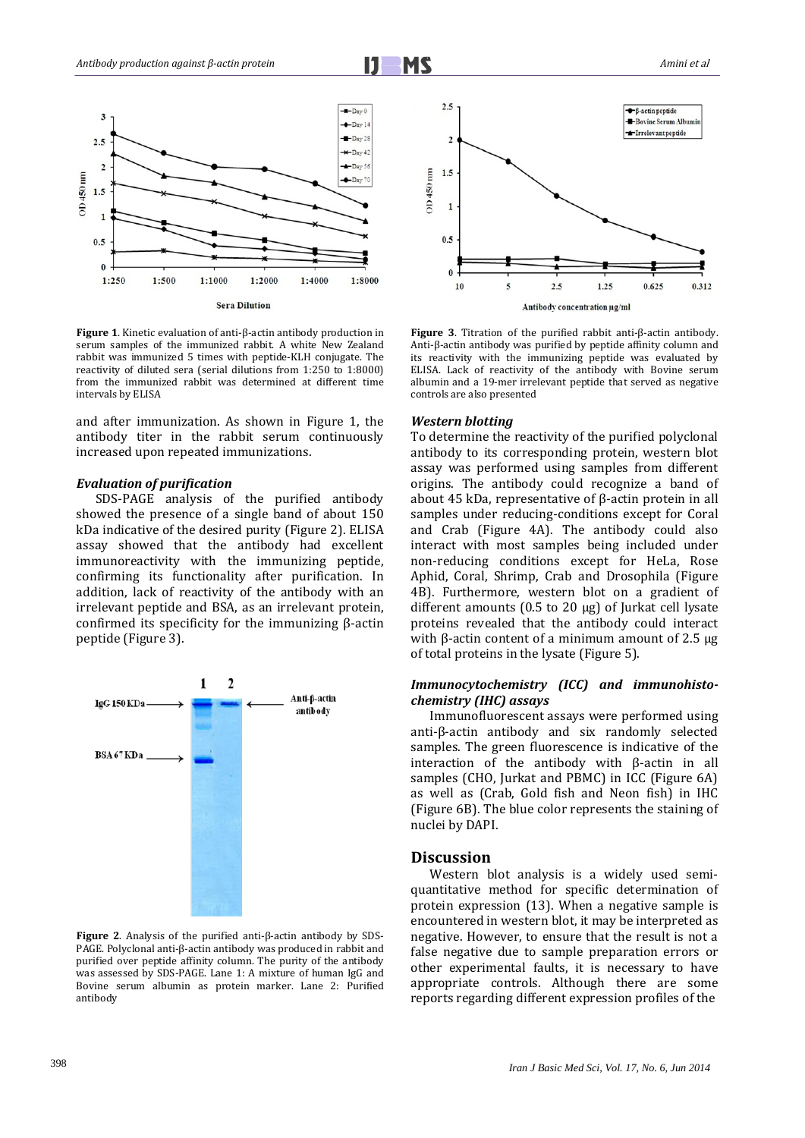

**Figure 1**. Kinetic evaluation of anti-β-actin antibody production in serum samples of the immunized rabbit. A white New Zealand rabbit was immunized 5 times with peptide-KLH conjugate. The reactivity of diluted sera (serial dilutions from 1:250 to 1:8000) from the immunized rabbit was determined at different time intervals by ELISA

and after immunization. As shown in Figure 1, the antibody titer in the rabbit serum continuously increased upon repeated immunizations.

#### *Evaluation of purification*

SDS-PAGE analysis of the purified antibody showed the presence of a single band of about 150 kDa indicative of the desired purity (Figure 2). ELISA assay showed that the antibody had excellent immunoreactivity with the immunizing peptide, confirming its functionality after purification. In addition, lack of reactivity of the antibody with an irrelevant peptide and BSA, as an irrelevant protein, confirmed its specificity for the immunizing β-actin peptide (Figure 3).



**Figure 2**. Analysis of the purified anti-β-actin antibody by SDS-PAGE. Polyclonal anti-β-actin antibody was produced in rabbit and purified over peptide affinity column. The purity of the antibody was assessed by SDS-PAGE. Lane 1: A mixture of human IgG and Bovine serum albumin as protein marker. Lane 2: Purified antibody



**Figure 3**. Titration of the purified rabbit anti-β-actin antibody. Anti-β-actin antibody was purified by peptide affinity column and its reactivity with the immunizing peptide was evaluated by ELISA. Lack of reactivity of the antibody with Bovine serum albumin and a 19-mer irrelevant peptide that served as negative controls are also presented

#### *Western blotting*

To determine the reactivity of the purified polyclonal antibody to its corresponding protein, western blot assay was performed using samples from different origins. The antibody could recognize a band of about 45 kDa, representative of β-actin protein in all samples under reducing-conditions except for Coral and Crab (Figure 4A). The antibody could also interact with most samples being included under non-reducing conditions except for HeLa, Rose Aphid, Coral, Shrimp, Crab and Drosophila (Figure 4B). Furthermore, western blot on a gradient of different amounts (0.5 to 20 µg) of Jurkat cell lysate proteins revealed that the antibody could interact with β-actin content of a minimum amount of 2.5  $\mu$ g of total proteins in the lysate (Figure 5).

## *Immunocytochemistry (ICC) and immunohistochemistry (IHC) assays*

Immunofluorescent assays were performed using anti-β-actin antibody and six randomly selected samples. The green fluorescence is indicative of the interaction of the antibody with β-actin in all samples (CHO, Jurkat and PBMC) in ICC (Figure 6A) as well as (Crab, Gold fish and Neon fish) in IHC (Figure 6B). The blue color represents the staining of nuclei by DAPI.

#### **Discussion**

Western blot analysis is a widely used semiquantitative method for specific determination of protein expression [\(13\)](#page-4-10). When a negative sample is encountered in western blot, it may be interpreted as negative. However, to ensure that the result is not a false negative due to sample preparation errors or other experimental faults, it is necessary to have appropriate controls. Although there are some reports regarding different expression profiles of the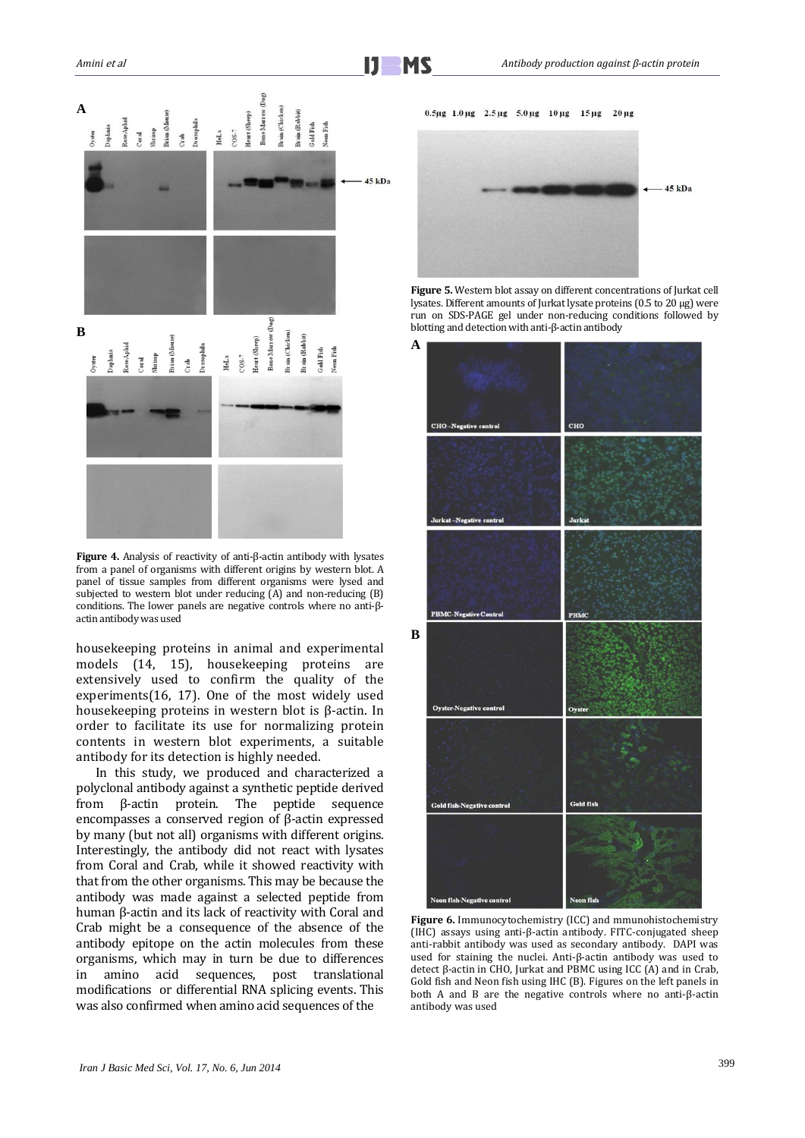

**Figure 4.** Analysis of reactivity of anti-β-actin antibody with lysates from a panel of organisms with different origins by western blot. A panel of tissue samples from different organisms were lysed and subjected to western blot under reducing (A) and non-reducing (B) conditions. The lower panels are negative controls where no anti-βactin antibody was used

housekeeping proteins in animal and experimental models [\(14,](#page-4-11) [15\)](#page-4-12), housekeeping proteins are extensively used to confirm the quality of the experiments[\(16,](#page-4-13) [17\)](#page-4-14). One of the most widely used housekeeping proteins in western blot is β-actin. In order to facilitate its use for normalizing protein contents in western blot experiments, a suitable antibody for its detection is highly needed.

In this study, we produced and characterized a polyclonal antibody against a synthetic peptide derived from β-actin protein. The peptide sequence encompasses a conserved region of β-actin expressed by many (but not all) organisms with different origins. Interestingly, the antibody did not react with lysates from Coral and Crab, while it showed reactivity with that from the other organisms. This may be because the antibody was made against a selected peptide from human β-actin and its lack of reactivity with Coral and Crab might be a consequence of the absence of the antibody epitope on the actin molecules from these organisms, which may in turn be due to differences amino acid sequences, post translational modifications or differential RNA splicing events. This was also confirmed when amino acid sequences of the



**Figure 5.** Western blot assay on different concentrations of Jurkat cell lysates. Different amounts of Jurkat lysate proteins (0.5 to 20 µg) were run on SDS-PAGE gel under non-reducing conditions followed by blotting and detection with anti-β-actin antibody



Figure 6. Immunocytochemistry (ICC) and mmunohistochemistry (IHC) assays using anti-β-actin antibody. FITC-conjugated sheep anti-rabbit antibody was used as secondary antibody. DAPI was used for staining the nuclei. Anti-β-actin antibody was used to detect β-actin in CHO, Jurkat and PBMC using ICC (A) and in Crab, Gold fish and Neon fish using IHC (B). Figures on the left panels in both A and B are the negative controls where no anti-β-actin antibody was used